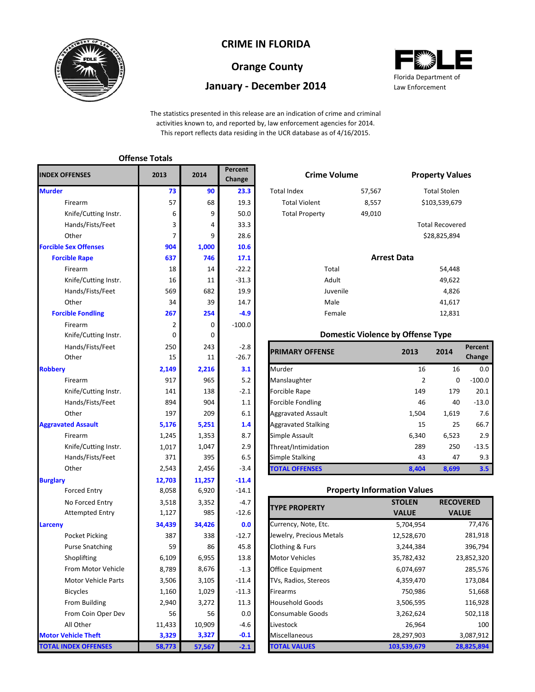

# **CRIME IN FLORIDA**

# **Orange County**

## **January - December 2014**



The statistics presented in this release are an indication of crime and criminal activities known to, and reported by, law enforcement agencies for 2014. This report reflects data residing in the UCR database as of 4/16/2015.

|                              | <b>Offense Totals</b> |        |                   |                           |                                          |                |                      |
|------------------------------|-----------------------|--------|-------------------|---------------------------|------------------------------------------|----------------|----------------------|
| <b>INDEX OFFENSES</b>        | 2013                  | 2014   | Percent<br>Change | <b>Crime Volume</b>       |                                          |                | <b>Property Val</b>  |
| <b>Murder</b>                | 73                    | 90     | 23.3              | <b>Total Index</b>        | 57,567                                   |                | <b>Total Stolen</b>  |
| Firearm                      | 57                    | 68     | 19.3              | <b>Total Violent</b>      | 8,557                                    | \$103,539,67   |                      |
| Knife/Cutting Instr.         | 6                     | 9      | 50.0              | <b>Total Property</b>     | 49,010                                   |                |                      |
| Hands/Fists/Feet             | 3                     | 4      | 33.3              |                           |                                          |                | <b>Total Recover</b> |
| Other                        | 7                     | 9      | 28.6              |                           |                                          |                | \$28,825,894         |
| <b>Forcible Sex Offenses</b> | 904                   | 1,000  | 10.6              |                           |                                          |                |                      |
| <b>Forcible Rape</b>         | 637                   | 746    | 17.1              |                           | <b>Arrest Data</b>                       |                |                      |
| Firearm                      | 18                    | 14     | $-22.2$           | Total                     |                                          |                | 54,448               |
| Knife/Cutting Instr.         | 16                    | 11     | $-31.3$           | Adult                     |                                          |                | 49,622               |
| Hands/Fists/Feet             | 569                   | 682    | 19.9              | Juvenile                  |                                          |                | 4,826                |
| Other                        | 34                    | 39     | 14.7              | Male                      |                                          |                | 41,617               |
| <b>Forcible Fondling</b>     | 267                   | 254    | $-4.9$            | Female                    |                                          |                | 12,831               |
| Firearm                      | $\overline{2}$        | 0      | $-100.0$          |                           |                                          |                |                      |
| Knife/Cutting Instr.         | 0                     | 0      |                   |                           | <b>Domestic Violence by Offense Type</b> |                |                      |
| Hands/Fists/Feet             | 250                   | 243    | $-2.8$            |                           |                                          |                |                      |
| Other                        | 15                    | 11     | $-26.7$           | <b>PRIMARY OFFENSE</b>    |                                          | 2013           | 2014                 |
| <b>Robbery</b>               | 2,149                 | 2,216  | 3.1               | Murder                    |                                          | 16             | 16                   |
| Firearm                      | 917                   | 965    | 5.2               | Manslaughter              |                                          | $\overline{2}$ | C                    |
| Knife/Cutting Instr.         | 141                   | 138    | $-2.1$            | Forcible Rape             |                                          | 149            | 17 <sup>S</sup>      |
| Hands/Fists/Feet             | 894                   | 904    | 1.1               | Forcible Fondling         |                                          | 46             | 40                   |
| Other                        | 197                   | 209    | 6.1               | <b>Aggravated Assault</b> |                                          | 1,504          | 1,619                |
| <b>Aggravated Assault</b>    | 5,176                 | 5,251  | 1.4               | Aggravated Stalking       |                                          | 15             | 25                   |
| Firearm                      | 1,245                 | 1,353  | 8.7               | Simple Assault            |                                          | 6,340          | 6,523                |
| Knife/Cutting Instr.         | 1,017                 | 1,047  | 2.9               | Threat/Intimidation       |                                          | 289            | 250                  |
| Hands/Fists/Feet             | 371                   | 395    | 6.5               | Simple Stalking           |                                          | 43             | 47                   |
| Other                        | 2,543                 | 2,456  | $-3.4$            | <b>TOTAL OFFENSES</b>     |                                          | 8,404          | 8,699                |
| <b>Burglary</b>              | 12,703                | 11,257 | $-11.4$           |                           |                                          |                |                      |
| <b>Forced Entry</b>          | 8,058                 | 6,920  | $-14.1$           |                           | <b>Property Information Values</b>       |                |                      |
| No Forced Entry              | 3,518                 | 3,352  | $-4.7$            |                           |                                          | <b>STOLEN</b>  | <b>RECO</b>          |
| <b>Attempted Entry</b>       | 1,127                 | 985    | $-12.6$           | <b>TYPE PROPERTY</b>      |                                          | <b>VALUE</b>   | <b>VA</b>            |
| Larceny                      | 34,439                | 34,426 | 0.0               | Currency, Note, Etc.      |                                          | 5,704,954      |                      |
| Pocket Picking               | 387                   | 338    | $-12.7$           | Jewelry, Precious Metals  |                                          | 12,528,670     |                      |
| <b>Purse Snatching</b>       | 59                    | 86     | 45.8              | Clothing & Furs           |                                          | 3,244,384      |                      |
| Shoplifting                  | 6,109                 | 6,955  | 13.8              | Motor Vehicles            |                                          | 35,782,432     |                      |
| From Motor Vehicle           | 8,789                 | 8,676  | $-1.3$            | Office Equipment          |                                          | 6,074,697      |                      |
| <b>Motor Vehicle Parts</b>   | 3,506                 | 3,105  | $-11.4$           | TVs, Radios, Stereos      |                                          | 4,359,470      |                      |
| <b>Bicycles</b>              | 1,160                 | 1,029  | $-11.3$           | Firearms                  |                                          | 750,986        |                      |
| From Building                | 2,940                 | 3,272  | 11.3              | <b>Household Goods</b>    |                                          | 3,506,595      |                      |
| From Coin Oper Dev           | 56                    | 56     | 0.0               | Consumable Goods          |                                          | 3,262,624      |                      |
| All Other                    | 11,433                | 10,909 | $-4.6$            | Livestock                 |                                          | 26,964         |                      |
| <b>Motor Vehicle Theft</b>   | 3,329                 | 3,327  | $-0.1$            | Miscellaneous             |                                          | 28,297,903     |                      |
| <b>TOTAL INDEX OFFENSES</b>  | 58,773                | 57,567 | $-2.1$            | <b>TOTAL VALUES</b>       | 103,539,679                              |                | 2                    |

|                | Percent<br>Change | <b>Crime Volume</b>   |                    | <b>Property Values</b> |
|----------------|-------------------|-----------------------|--------------------|------------------------|
| 90             | 23.3              | <b>Total Index</b>    | 57,567             | <b>Total Stolen</b>    |
| 68             | 19.3              | <b>Total Violent</b>  | 8,557              | \$103,539,679          |
| 9              | 50.0              | <b>Total Property</b> | 49,010             |                        |
| $\overline{4}$ | 33.3              |                       |                    | <b>Total Recovered</b> |
| 9              | 28.6              |                       |                    | \$28,825,894           |
| 00             | 10.6              |                       |                    |                        |
| 46             | 17.1              |                       | <b>Arrest Data</b> |                        |

| 14  | $-22.2$ |  | Total    | 54,448 |
|-----|---------|--|----------|--------|
| 11  | $-31.3$ |  | Adult    | 49,622 |
| 682 | 19.9    |  | Juvenile | 4,826  |
| 39  | 14.7    |  | Male     | 41,617 |
| 254 | $-4.9$  |  | Female   | 12,831 |
|     |         |  |          |        |

#### **Domestic Violence by Offense Type**

| Hands/Fists/Feet     | 250   | 243   | $-2.8$  | <b>PRIMARY OFFENSE</b>     | 2013  | 2014        | <b>Percent</b> |
|----------------------|-------|-------|---------|----------------------------|-------|-------------|----------------|
| Other                | 15    | 11    | $-26.7$ |                            |       |             | <b>Change</b>  |
|                      | 2,149 | 2,216 | 3.1     | Murder                     | 16    | 16          | 0.0            |
| Firearm              | 917   | 965   | 5.2     | Manslaughter               |       | $\mathbf 0$ | $-100.0$       |
| Knife/Cutting Instr. | 141   | 138   | $-2.1$  | <b>Forcible Rape</b>       | 149   | 179         | 20.1           |
| Hands/Fists/Feet     | 894   | 904   | 1.1     | <b>Forcible Fondling</b>   | 46    | 40          | $-13.0$        |
| Other                | 197   | 209   | 6.1     | <b>Aggravated Assault</b>  | 1,504 | 1,619       | 7.6            |
| ted Assault          | 5,176 | 5,251 | 1.4     | <b>Aggravated Stalking</b> | 15    | 25          | 66.7           |
| Firearm              | 1,245 | 1,353 | 8.7     | Simple Assault             | 6,340 | 6,523       | 2.9            |
| Knife/Cutting Instr. | 1,017 | 1,047 | 2.9     | Threat/Intimidation        | 289   | 250         | $-13.5$        |
| Hands/Fists/Feet     | 371   | 395   | 6.5     | Simple Stalking            | 43    | 47          | 9.3            |
| Other                | 2,543 | 2,456 | $-3.4$  | <b>TOTAL OFFENSES</b>      | 8.404 | 8,699       | 3.5            |

### **Property Information Values**

| <b>TYPE PROPERTY</b>     | <b>STOLEN</b> | <b>RECOVERED</b> |
|--------------------------|---------------|------------------|
|                          | <b>VALUE</b>  | <b>VALUE</b>     |
| Currency, Note, Etc.     | 5,704,954     | 77,476           |
| Jewelry, Precious Metals | 12,528,670    | 281,918          |
| Clothing & Furs          | 3,244,384     | 396,794          |
| <b>Motor Vehicles</b>    | 35,782,432    | 23,852,320       |
| Office Equipment         | 6,074,697     | 285,576          |
| TVs, Radios, Stereos     | 4,359,470     | 173,084          |
| Firearms                 | 750,986       | 51,668           |
| <b>Household Goods</b>   | 3,506,595     | 116,928          |
| <b>Consumable Goods</b>  | 3,262,624     | 502,118          |
| Livestock                | 26,964        | 100              |
| Miscellaneous            | 28,297,903    | 3,087,912        |
| <b>TOTAL VALUES</b>      | 103,539,679   | 28,825,894       |